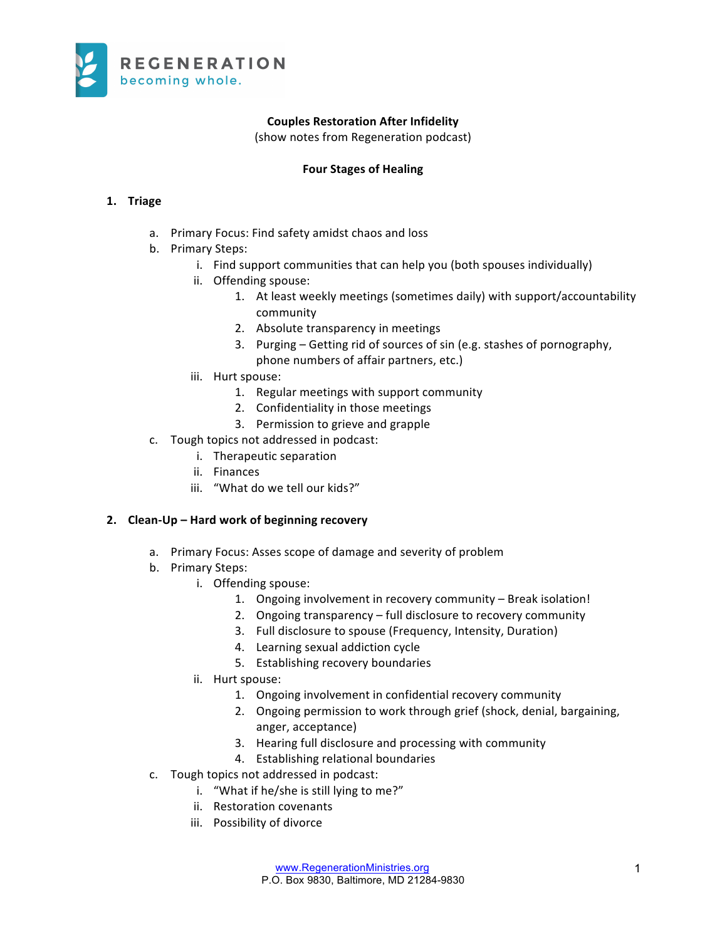

# **Couples Restoration After Infidelity**

(show notes from Regeneration podcast)

#### **Four Stages of Healing**

# **1. Triage**

- a. Primary Focus: Find safety amidst chaos and loss
- b. Primary Steps:
	- i. Find support communities that can help you (both spouses individually)
	- ii. Offending spouse:
		- 1. At least weekly meetings (sometimes daily) with support/accountability community
		- 2. Absolute transparency in meetings
		- 3. Purging Getting rid of sources of sin (e.g. stashes of pornography, phone numbers of affair partners, etc.)
	- iii. Hurt spouse:
		- 1. Regular meetings with support community
		- 2. Confidentiality in those meetings
		- 3. Permission to grieve and grapple
- c. Tough topics not addressed in podcast:
	- i. Therapeutic separation
	- ii. Finances
	- iii. "What do we tell our kids?"

#### **2. Clean-Up – Hard work of beginning recovery**

- a. Primary Focus: Asses scope of damage and severity of problem
- b. Primary Steps:
	- i. Offending spouse:
		- 1. Ongoing involvement in recovery community Break isolation!
		- 2. Ongoing transparency full disclosure to recovery community
		- 3. Full disclosure to spouse (Frequency, Intensity, Duration)
		- 4. Learning sexual addiction cycle
		- 5. Establishing recovery boundaries
	- ii. Hurt spouse:
		- 1. Ongoing involvement in confidential recovery community
		- 2. Ongoing permission to work through grief (shock, denial, bargaining, anger, acceptance)
		- 3. Hearing full disclosure and processing with community
		- 4. Establishing relational boundaries
- c. Tough topics not addressed in podcast:
	- i. "What if he/she is still lying to me?"
	- ii. Restoration covenants
	- iii. Possibility of divorce